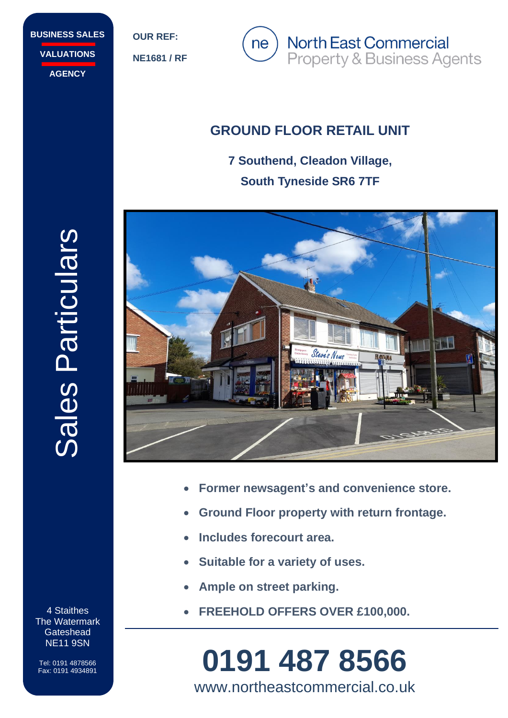**BUSINESS SALES VALUATIONS AGENCY**

**OUR REF:**

**NE1681 / RF**



# **GROUND FLOOR RETAIL UNIT**

**7 Southend, Cleadon Village, South Tyneside SR6 7TF**



- **Former newsagent's and convenience store.**
- **Ground Floor property with return frontage.**
- **Includes forecourt area.**
- **Suitable for a variety of uses.**
- **Ample on street parking.**
- **FREEHOLD OFFERS OVER £100,000.**

# Fax: 0191 4934891 **0191 487 8566** www.northeastcommercial.co.uk

Sales Particulars Sales Particulars

4 Staithes The Watermark **Gateshead** NE11 9SN

Tel: 0191 4878566<br>Fax: 0191 4934891